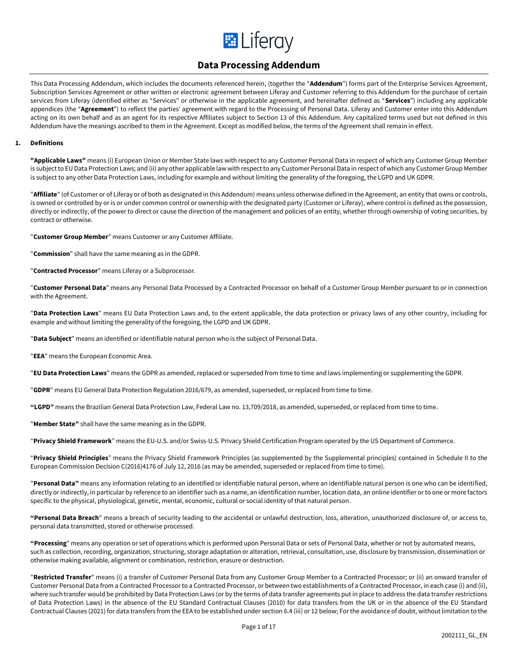# **E** Liferay

# **Data Processing Addendum**

This Data Processing Addendum, which includes the documents referenced herein, (together the "**Addendum**") forms part of the Enterprise Services Agreement, Subscription Services Agreement or other written or electronic agreement between Liferay and Customer referring to this Addendum for the purchase of certain services from Liferay (identified either as "Services" or otherwise in the applicable agreement, and hereinafter defined as "**Services**") including any applicable appendices (the "**Agreement**") to reflect the parties' agreement with regard to the Processing of Personal Data. Liferay and Customer enter into this Addendum acting on its own behalf and as an agent for its respective Affiliates subject to Section 13 of this Addendum. Any capitalized terms used but not defined in this Addendum have the meanings ascribed to them in the Agreement. Except as modified below, the terms of the Agreement shall remain in effect.

# **1. Definitions**

**"Applicable Laws"** means (i) European Union or Member State laws with respect to any Customer Personal Data in respect of which any Customer Group Member is subject to EU Data Protection Laws; and (ii) any other applicable law with respect to any Customer Personal Data in respect of which any Customer Group Member is subject to any other Data Protection Laws, including for example and without limiting the generality of the foregoing, the LGPD and UK GDPR.

"**Affiliate**" (of Customer or of Liferay or of both as designated in this Addendum) means unless otherwise defined in the Agreement, an entity that owns or controls, is owned or controlled by or is or under common control or ownership with the designated party (Customer or Liferay), where control is defined as the possession, directly or indirectly, of the power to direct or cause the direction of the management and policies of an entity, whether through ownership of voting securities, by contract or otherwise.

"**Customer Group Member**" means Customer or any Customer Affiliate.

"**Commission**" shall have the same meaning as in the GDPR.

"**Contracted Processor**" means Liferay or a Subprocessor.

"**Customer Personal Data**" means any Personal Data Processed by a Contracted Processor on behalf of a Customer Group Member pursuant to or in connection with the Agreement.

"**Data Protection Laws**" means EU Data Protection Laws and, to the extent applicable, the data protection or privacy laws of any other country, including for example and without limiting the generality of the foregoing, the LGPD and UK GDPR.

"**Data Subject**" means an identified or identifiable natural person who is the subject of Personal Data.

"**EEA**" means the European Economic Area.

"**EU Data Protection Laws**" means the GDPR as amended, replaced or superseded from time to time and laws implementing or supplementing the GDPR.

"**GDPR**" means EU General Data Protection Regulation 2016/679, as amended, superseded, or replaced from time to time.

**"LGPD"** means the Brazilian General Data Protection Law, Federal Law no. 13,709/2018, as amended, superseded, or replaced from time to time.

"**Member State"** shall have the same meaning as in the GDPR.

"**Privacy Shield Framework**" means the EU-U.S. and/or Swiss-U.S. Privacy Shield Certification Program operated by the US Department of Commerce.

"**Privacy Shield Principles**" means the Privacy Shield Framework Principles (as supplemented by the Supplemental principles) contained in Schedule II to the European Commission Decision C(2016)4176 of July 12, 2016 (as may be amended, superseded or replaced from time to time).

"**Personal Data"** means any information relating to an identified or identifiable natural person, where an identifiable natural person is one who can be identified, directly or indirectly, in particular by reference to an identifier such as a name, an identification number, location data, an online identifier or to one or more factors specific to the physical, physiological, genetic, mental, economic, cultural or social identity of that natural person.

**"Personal Data Breach**" means a breach of security leading to the accidental or unlawful destruction, loss, alteration, unauthorized disclosure of, or access to, personal data transmitted, stored or otherwise processed.

**"Processing**" means any operation or set of operations which is performed upon Personal Data or sets of Personal Data, whether or not by automated means, such as collection, recording, organization, structuring, storage adaptation or alteration, retrieval, consultation, use, disclosure by transmission, dissemination or otherwise making available, alignment or combination, restriction, erasure or destruction.

"**Restricted Transfer**" means (i) a transfer of Customer Personal Data from any Customer Group Member to a Contracted Processor; or (ii) an onward transfer of Customer Personal Data from a Contracted Processor to a Contracted Processor, or between two establishments of a Contracted Processor, in each case (i) and (ii), where such transfer would be prohibited by Data Protection Laws (or by the terms of data transfer agreements put in place to address the data transfer restrictions of Data Protection Laws) in the absence of the EU Standard Contractual Clauses (2010) for data transfers from the UK or in the absence of the EU Standard Contractual Clauses (2021) for data transfers from the EEA to be established under section 6.4 (iii) or 12 below; For the avoidance of doubt, without limitation to the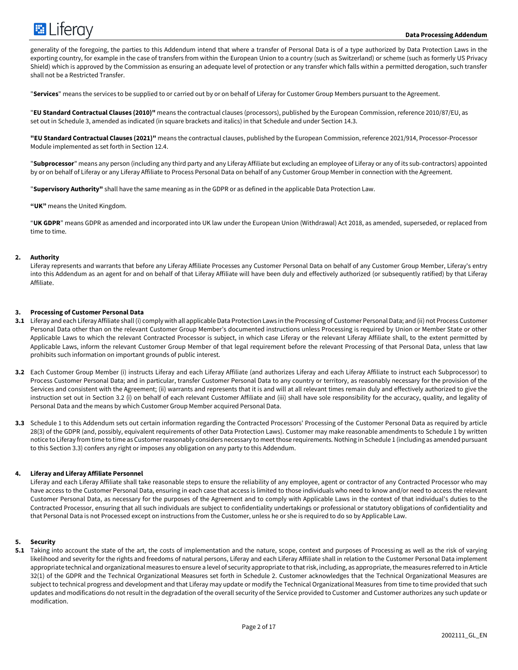

generality of the foregoing, the parties to this Addendum intend that where a transfer of Personal Data is of a type authorized by Data Protection Laws in the exporting country, for example in the case of transfers from within the European Union to a country (such as Switzerland) or scheme (such as formerly US Privacy Shield) which is approved by the Commission as ensuring an adequate level of protection or any transfer which falls within a permitted derogation, such transfer shall not be a Restricted Transfer.

"**Services**" means the services to be supplied to or carried out by or on behalf of Liferay for Customer Group Members pursuant to the Agreement.

"**EU Standard Contractual Clauses (2010)"** means the contractual clauses (processors), published by the European Commission, reference 2010/87/EU, as set out in Schedule 3, amended as indicated (in square brackets and italics) in that Schedule and under Section 14.3.

**"EU Standard Contractual Clauses (2021)"** means the contractual clauses, published by the European Commission, reference 2021/914, Processor-Processor Module implemented as set forth in Section 12.4.

"**Subprocessor**" means any person (including any third party and any Liferay Affiliate but excluding an employee of Liferay or any of its sub-contractors) appointed by or on behalf of Liferay or any Liferay Affiliate to Process Personal Data on behalf of any Customer Group Member in connection with the Agreement.

"**Supervisory Authority"** shall have the same meaning as in the GDPR or as defined in the applicable Data Protection Law.

**"UK"** means the United Kingdom.

"**UK GDPR**" means GDPR as amended and incorporated into UK law under the European Union (Withdrawal) Act 2018, as amended, superseded, or replaced from time to time.

#### **2. Authority**

<span id="page-1-1"></span>Liferay represents and warrants that before any Liferay Affiliate Processes any Customer Personal Data on behalf of any Customer Group Member, Liferay's entry into this Addendum as an agent for and on behalf of that Liferay Affiliate will have been duly and effectively authorized (or subsequently ratified) by that Liferay Affiliate.

#### **3. Processing of Customer Personal Data**

- 3.1 Liferay and each Liferay Affiliate shall (i) comply with all applicable Data Protection Laws in the Processing of Customer Personal Data; and (ii) not Process Customer Personal Data other than on the relevant Customer Group Member's documented instructions unless Processing is required by Union or Member State or other Applicable Laws to which the relevant Contracted Processor is subject, in which case Liferay or the relevant Liferay Affiliate shall, to the extent permitted by Applicable Laws, inform the relevant Customer Group Member of that legal requirement before the relevant Processing of that Personal Data, unless that law prohibits such information on important grounds of public interest.
- **3.2** Each Customer Group Member (i) instructs Liferay and each Liferay Affiliate (and authorizes Liferay and each Liferay Affiliate to instruct each Subprocessor) to Process Customer Personal Data; and in particular, transfer Customer Personal Data to any country or territory, as reasonably necessary for the provision of the Services and consistent with the Agreement; (ii) warrants and represents that it is and will at all relevant times remain duly and effectively authorized to give the instruction set out in Section 3.2 (i) on behalf of each relevant Customer Affiliate and (iii) shall have sole responsibility for the accuracy, quality, and legality of Personal Data and the means by which Customer Group Member acquired Personal Data.
- <span id="page-1-0"></span>**3.3** Schedule 1 to this Addendum sets out certain information regarding the Contracted Processors' Processing of the Customer Personal Data as required by article 28(3) of the GDPR (and, possibly, equivalent requirements of other Data Protection Laws). Customer may make reasonable amendments to Schedule 1 by written notice to Liferay from time to time as Customerreasonably considers necessary to meet those requirements. Nothing in Schedule 1 (including as amended pursuant to this Sectio[n 3.3\)](#page-1-0) confers any right or imposes any obligation on any party to this Addendum.

#### **4. Liferay and Liferay Affiliate Personnel**

<span id="page-1-3"></span><span id="page-1-2"></span>Liferay and each Liferay Affiliate shall take reasonable steps to ensure the reliability of any employee, agent or contractor of any Contracted Processor who may have access to the Customer Personal Data, ensuring in each case that access is limited to those individuals who need to know and/or need to access the relevant Customer Personal Data, as necessary for the purposes of the Agreement and to comply with Applicable Laws in the context of that individual's duties to the Contracted Processor, ensuring that all such individuals are subject to confidentiality undertakings or professional or statutory obligations of confidentiality and that Personal Data is not Processed except on instructions from the Customer, unless he or she is required to do so by Applicable Law.

# **5. Security**

**5.1** Taking into account the state of the art, the costs of implementation and the nature, scope, context and purposes of Processing as well as the risk of varying likelihood and severity for the rights and freedoms of natural persons, Liferay and each Liferay Affiliate shall in relation to the Customer Personal Data implement appropriate technical and organizational measures to ensure a level of security appropriate to that risk, including, as appropriate, the measures referred to in Article 32(1) of the GDPR and the Technical Organizational Measures set forth in Schedule 2. Customer acknowledges that the Technical Organizational Measures are subject to technical progress and development and that Liferay may update or modify the Technical Organizational Measures from time to time provided that such updates and modifications do not result in the degradation of the overall security of the Service provided to Customer and Customer authorizes any such update or modification.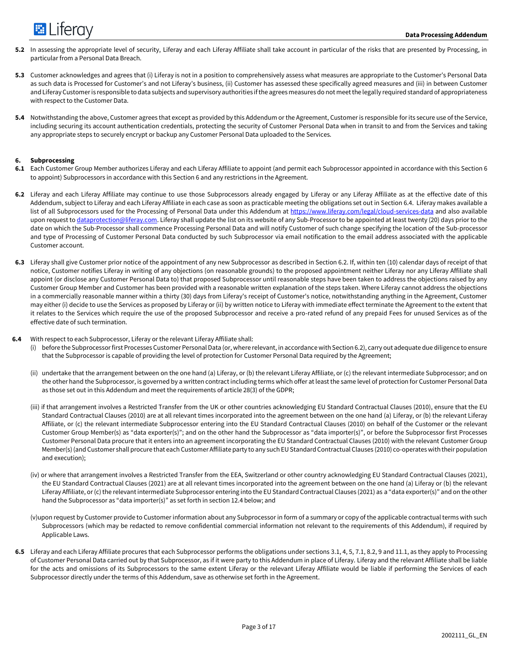- **5.2** In assessing the appropriate level of security, Liferay and each Liferay Affiliate shall take account in particular of the risks that are presented by Processing, in particular from a Personal Data Breach.
- **5.3** Customer acknowledges and agrees that (i) Liferay is not in a position to comprehensively assess what measures are appropriate to the Customer's Personal Data as such data is Processed for Customer's and not Liferay's business, (ii) Customer has assessed these specifically agreed measures and (iii) in between Customer and Liferay Customer is responsible to data subjects and supervisory authorities if the agrees measures do not meet the legally required standard of appropriateness with respect to the Customer Data.
- **5.4** Notwithstanding the above, Customer agrees that except as provided by this Addendum or the Agreement, Customer is responsible for its secure use of the Service, including securing its account authentication credentials, protecting the security of Customer Personal Data when in transit to and from the Services and taking any appropriate steps to securely encrypt or backup any Customer Personal Data uploaded to the Services.

# **6. Subprocessing**

- **6.1** Each Customer Group Member authorizes Liferay and each Liferay Affiliate to appoint (and permit each Subprocessor appointed in accordance with this Section 6 to appoint) Subprocessors in accordance with this Section 6 and any restrictions in the Agreement.
- **6.2** Liferay and each Liferay Affiliate may continue to use those Subprocessors already engaged by Liferay or any Liferay Affiliate as at the effective date of this Addendum, subject to Liferay and each Liferay Affiliate in each case as soon as practicable meeting the obligations set out in Section 6.4. Liferay makes available a list of all Subprocessors used for the Processing of Personal Data under this Addendum at <https://www.liferay.com/legal/cloud-services-data> and also available upon request to [dataprotection@liferay.com.](mailto:dataprotection@liferay.com) Liferay shall update the list on its website of any Sub-Processor to be appointed at least twenty (20) days prior to the date on which the Sub-Processor shall commence Processing Personal Data and will notify Customer of such change specifying the location of the Sub-processor and type of Processing of Customer Personal Data conducted by such Subprocessor via email notification to the email address associated with the applicable Customer account.
- **6.3** Liferay shall give Customer prior notice of the appointment of any new Subprocessor as described in Section 6.2. If, within ten (10) calendar days of receipt of that notice, Customer notifies Liferay in writing of any objections (on reasonable grounds) to the proposed appointment neither Liferay nor any Liferay Affiliate shall appoint (or disclose any Customer Personal Data to) that proposed Subprocessor until reasonable steps have been taken to address the objections raised by any Customer Group Member and Customer has been provided with a reasonable written explanation of the steps taken. Where Liferay cannot address the objections in a commercially reasonable manner within a thirty (30) days from Liferay's receipt of Customer's notice, notwithstanding anything in the Agreement, Customer may either (i) decide to use the Services as proposed by Liferay or (ii) by written notice to Liferay with immediate effect terminate the Agreement to the extent that it relates to the Services which require the use of the proposed Subprocessor and receive a pro-rated refund of any prepaid Fees for unused Services as of the effective date of such termination.
- **6.4** With respect to each Subprocessor, Liferay or the relevant Liferay Affiliate shall:
	- (i) before the Subprocessor first Processes Customer Personal Data (or, where relevant, in accordance with Section 6.2), carry out adequate due diligence to ensure that the Subprocessor is capable of providing the level of protection for Customer Personal Data required by the Agreement;
	- (ii) undertake that the arrangement between on the one hand (a) Liferay, or (b) the relevant Liferay Affiliate, or (c) the relevant intermediate Subprocessor; and on the other hand the Subprocessor, is governed by a written contract including terms which offer at least the same level of protection for Customer Personal Data as those set out in this Addendum and meet the requirements of article 28(3) of the GDPR;
	- (iii) if that arrangement involves a Restricted Transfer from the UK or other countries acknowledging EU Standard Contractual Clauses (2010), ensure that the EU Standard Contractual Clauses (2010) are at all relevant times incorporated into the agreement between on the one hand (a) Liferay, or (b) the relevant Liferay Affiliate, or (c) the relevant intermediate Subprocessor entering into the EU Standard Contractual Clauses (2010) on behalf of the Customer or the relevant Customer Group Member(s) as "data exporter(s)"; and on the other hand the Subprocessor as "data importer(s)", or before the Subprocessor first Processes Customer Personal Data procure that it enters into an agreement incorporating the EU Standard Contractual Clauses (2010) with the relevant Customer Group Member(s) (and Customer shall procure that each Customer Affiliate party to any such EU Standard Contractual Clauses (2010) co-operates with their population and execution);
	- (iv) or where that arrangement involves a Restricted Transfer from the EEA, Switzerland or other country acknowledging EU Standard Contractual Clauses (2021), the EU Standard Contractual Clauses (2021) are at all relevant times incorporated into the agreement between on the one hand (a) Liferay or (b) the relevant Liferay Affiliate, or (c) the relevant intermediate Subprocessor entering into the EU Standard Contractual Clauses (2021) as a "data exporter(s)" and on the other hand the Subprocessor as "data importer(s)" as set forth in section 12.4 below; and
	- (v)upon request by Customer provide to Customer information about any Subprocessor in form of a summary or copy of the applicable contractual terms with such Subprocessors (which may be redacted to remove confidential commercial information not relevant to the requirements of this Addendum), if required by Applicable Laws.
- **6.5** Liferay and each Liferay Affiliate procures that each Subprocessor performs the obligations under section[s 3.1,](#page-1-1) [4,](#page-1-2) [5,](#page-1-3) 7.1[, 8.2,](#page-3-0) [9](#page-3-1) and 11.1, as they apply to Processing of Customer Personal Data carried out by that Subprocessor, as if it were party to this Addendum in place of Liferay. Liferay and the relevant Affiliate shall be liable for the acts and omissions of its Subprocessors to the same extent Liferay or the relevant Liferay Affiliate would be liable if performing the Services of each Subprocessor directly under the terms of this Addendum, save as otherwise set forth in the Agreement.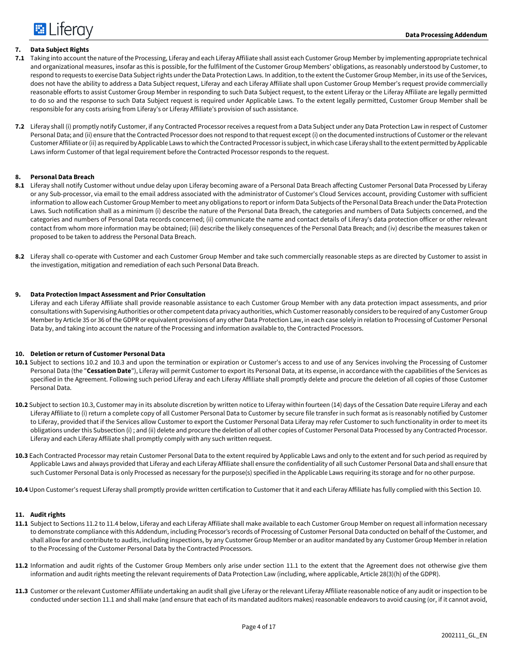

# **7. Data Subject Rights**

- **7.1** Taking into account the nature of the Processing, Liferay and each Liferay Affiliate shall assist each Customer Group Member by implementing appropriate technical and organizational measures, insofar as this is possible, for the fulfilment of the Customer Group Members' obligations, as reasonably understood by Customer, to respond to requests to exercise Data Subject rights under the Data Protection Laws. In addition, to the extent the Customer Group Member, in its use of the Services, does not have the ability to address a Data Subject request, Liferay and each Liferay Affiliate shall upon Customer Group Member's request provide commercially reasonable efforts to assist Customer Group Member in responding to such Data Subject request, to the extent Liferay or the Liferay Affiliate are legally permitted to do so and the response to such Data Subject request is required under Applicable Laws. To the extent legally permitted, Customer Group Member shall be responsible for any costs arising from Liferay's or Liferay Affiliate's provision of such assistance.
- **7.2** Liferay shall (i) promptly notify Customer, if any Contracted Processor receives a request from a Data Subject under any Data Protection Law in respect of Customer Personal Data; and (ii) ensure that the Contracted Processor does not respond to that request except (i) on the documented instructions of Customer or the relevant Customer Affiliate or (ii) as required by Applicable Laws to which the Contracted Processor is subject, in which case Liferay shall to the extent permitted by Applicable Laws inform Customer of that legal requirement before the Contracted Processor responds to the request.

# **8. Personal Data Breach**

- 8.1 Liferay shall notify Customer without undue delay upon Liferay becoming aware of a Personal Data Breach affecting Customer Personal Data Processed by Liferay or any Sub-processor, via email to the email address associated with the administrator of Customer's Cloud Services account, providing Customer with sufficient information to allow each CustomerGroup Member to meet any obligations to report or inform Data Subjects of the Personal Data Breach under the Data Protection Laws. Such notification shall as a minimum (i) describe the nature of the Personal Data Breach, the categories and numbers of Data Subjects concerned, and the categories and numbers of Personal Data records concerned; (ii) communicate the name and contact details of Liferay's data protection officer or other relevant contact from whom more information may be obtained; (iii) describe the likely consequences of the Personal Data Breach; and (iv) describe the measures taken or proposed to be taken to address the Personal Data Breach.
- <span id="page-3-0"></span>**8.2** Liferay shall co-operate with Customer and each Customer Group Member and take such commercially reasonable steps as are directed by Customer to assist in the investigation, mitigation and remediation of each such Personal Data Breach.

# **9. Data Protection Impact Assessment and Prior Consultation**

<span id="page-3-1"></span>Liferay and each Liferay Affiliate shall provide reasonable assistance to each Customer Group Member with any data protection impact assessments, and prior consultations with Supervising Authorities or other competent data privacy authorities, which Customerreasonably considers to be required of any CustomerGroup Member by Article 35 or 36 of the GDPR or equivalent provisions of any other Data Protection Law, in each case solely in relation to Processing of Customer Personal Data by, and taking into account the nature of the Processing and information available to, the Contracted Processors.

#### <span id="page-3-4"></span>**10. Deletion or return of Customer Personal Data**

- 10.1 Subject to sections [10.2](#page-3-2) an[d 10.3](#page-3-3) and upon the termination or expiration or Customer's access to and use of any Services involving the Processing of Customer Personal Data (the "**Cessation Date**"), Liferay will permit Customer to export its Personal Data, at its expense, in accordance with the capabilities of the Services as specified in the Agreement. Following such period Liferay and each Liferay Affiliate shall promptly delete and procure the deletion of all copies of those Customer Personal Data.
- <span id="page-3-2"></span>10.2 Subject to sectio[n 10.3,](#page-3-3) Customer may in its absolute discretion by written notice to Liferay within fourteen (14) days of the Cessation Date require Liferay and each Liferay Affiliate to (i) return a complete copy of all Customer Personal Data to Customer by secure file transfer in such format as is reasonably notified by Customer to Liferay, provided that if the Services allow Customer to export the Customer Personal Data Liferay may refer Customer to such functionality in order to meet its obligations under this Subsection (i) ; and (ii) delete and procure the deletion of all other copies of Customer Personal Data Processed by any Contracted Processor. Liferay and each Liferay Affiliate shall promptly comply with any such written request.
- <span id="page-3-3"></span>**10.3** Each Contracted Processor may retain Customer Personal Data to the extent required by Applicable Laws and only to the extent and for such period as required by Applicable Laws and always provided that Liferay and each Liferay Affiliate shall ensure the confidentiality of all such Customer Personal Data and shall ensure that such Customer Personal Data is only Processed as necessary for the purpose(s) specified in the Applicable Laws requiring its storage and for no other purpose.

**10.4** Upon Customer's request Liferay shall promptly provide written certification to Customer that it and each Liferay Affiliate has fully complied with this Sectio[n 10.](#page-3-4)

# **11. Audit rights**

- **11.1** Subject to Sections 11.2 to 11.4 below, Liferay and each Liferay Affiliate shall make available to each Customer Group Member on request all information necessary to demonstrate compliance with this Addendum, including Processor's records of Processing of Customer Personal Data conducted on behalf of the Customer, and shall allow for and contribute to audits, including inspections, by any Customer Group Member or an auditor mandated by any Customer Group Member in relation to the Processing of the Customer Personal Data by the Contracted Processors.
- **11.2** Information and audit rights of the Customer Group Members only arise under section 11.1 to the extent that the Agreement does not otherwise give them information and audit rights meeting the relevant requirements of Data Protection Law (including, where applicable, Article 28(3)(h) of the GDPR).
- **11.3** Customer or the relevant Customer Affiliate undertaking an audit shall give Liferay or the relevant Liferay Affiliate reasonable notice of any audit or inspection to be conducted under section 11.1 and shall make (and ensure that each of its mandated auditors makes) reasonable endeavors to avoid causing (or, if it cannot avoid,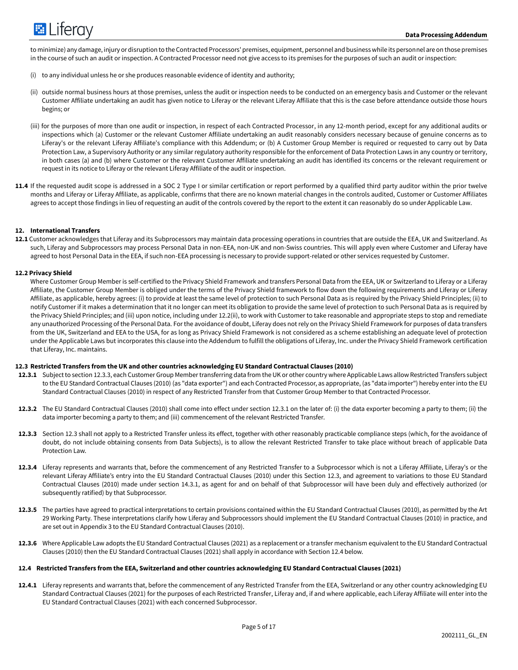to minimize) any damage, injury or disruption to the Contracted Processors' premises, equipment, personnel and business while its personnel are on those premises in the course of such an audit or inspection. A Contracted Processor need not give access to its premises for the purposes of such an audit or inspection:

- (i) to any individual unless he or she produces reasonable evidence of identity and authority;
- (ii) outside normal business hours at those premises, unless the audit or inspection needs to be conducted on an emergency basis and Customer or the relevant Customer Affiliate undertaking an audit has given notice to Liferay or the relevant Liferay Affiliate that this is the case before attendance outside those hours begins; or
- (iii) for the purposes of more than one audit or inspection, in respect of each Contracted Processor, in any 12-month period, except for any additional audits or inspections which (a) Customer or the relevant Customer Affiliate undertaking an audit reasonably considers necessary because of genuine concerns as to Liferay's or the relevant Liferay Affiliate's compliance with this Addendum; or (b) A Customer Group Member is required or requested to carry out by Data Protection Law, a Supervisory Authority or any similar regulatory authority responsible for the enforcement of Data Protection Laws in any country or territory, in both cases (a) and (b) where Customer or the relevant Customer Affiliate undertaking an audit has identified its concerns or the relevant requirement or request in its notice to Liferay or the relevant Liferay Affiliate of the audit or inspection.
- **11.4** If the requested audit scope is addressed in a SOC 2 Type I or similar certification or report performed by a qualified third party auditor within the prior twelve months and Liferay or Liferay Affiliate, as applicable, confirms that there are no known material changes in the controls audited, Customer or Customer Affiliates agrees to accept those findings in lieu of requesting an audit of the controls covered by the report to the extent it can reasonably do so under Applicable Law.

#### **12. International Transfers**

<span id="page-4-1"></span>**12.1** Customer acknowledges that Liferay and its Subprocessors may maintain data processing operations in countries that are outside the EEA, UK and Switzerland. As such, Liferay and Subprocessors may process Personal Data in non-EEA, non-UK and non-Swiss countries. This will apply even where Customer and Liferay have agreed to host Personal Data in the EEA, if such non-EEA processing is necessary to provide support-related or other services requested by Customer.

### **12.2 Privacy Shield**

Where Customer Group Member is self-certified to the Privacy Shield Framework and transfers Personal Data from the EEA, UK or Switzerland to Liferay or a Liferay Affiliate, the Customer Group Member is obliged under the terms of the Privacy Shield framework to flow down the following requirements and Liferay or Liferay Affiliate, as applicable, hereby agrees: (i) to provide at least the same level of protection to such Personal Data as is required by the Privacy Shield Principles; (ii) to notify Customer if it makes a determination that it no longer can meet its obligation to provide the same level of protection to such Personal Data as is required by the Privacy Shield Principles; and (iii) upon notice, including under 12.2(ii), to work with Customer to take reasonable and appropriate steps to stop and remediate any unauthorized Processing of the Personal Data. For the avoidance of doubt, Liferay does not rely on the Privacy Shield Framework for purposes of data transfers from the UK, Switzerland and EEA to the USA, for as long as Privacy Shield Framework is not considered as a scheme establishing an adequate level of protection under the Applicable Laws but incorporates this clause into the Addendum to fulfill the obligations of Liferay, Inc. under the Privacy Shield Framework certification that Liferay, Inc. maintains.

#### **12.3 Restricted Transfers from the UK and other countries acknowledging EU Standard Contractual Clauses (2010)**

- **12.3.1** Subject to section 12.[3.3,](#page-4-0) each Customer Group Member transferring data from the UK or other country where Applicable Laws allow Restricted Transfers subject to the EU Standard Contractual Clauses (2010) (as "data exporter") and each Contracted Processor, as appropriate, (as "data importer") hereby enter into the EU Standard Contractual Clauses (2010) in respect of any Restricted Transfer from that Customer Group Member to that Contracted Processor.
- <span id="page-4-0"></span>12.3.2 The EU Standard Contractual Clauses (2010) shall come into effect under sectio[n 12.3.1](#page-4-1) on the later of: (i) the data exporter becoming a party to them; (ii) the data importer becoming a party to them; and (iii) commencement of the relevant Restricted Transfer.
- **12.3.3** Sectio[n 12.3](#page-4-1) shall not apply to a Restricted Transfer unless its effect, together with other reasonably practicable compliance steps (which, for the avoidance of doubt, do not include obtaining consents from Data Subjects), is to allow the relevant Restricted Transfer to take place without breach of applicable Data Protection Law.
- **12.3.4** Liferay represents and warrants that, before the commencement of any Restricted Transfer to a Subprocessor which is not a Liferay Affiliate, Liferay's or the relevant Liferay Affiliate's entry into the EU Standard Contractual Clauses (2010) under this Section [12.3,](#page-4-1) and agreement to variations to those EU Standard Contractual Clauses (2010) made under section [14.3.1,](#page-6-0) as agent for and on behalf of that Subprocessor will have been duly and effectively authorized (or subsequently ratified) by that Subprocessor.
- **12.3.5** The parties have agreed to practical interpretations to certain provisions contained within the EU Standard Contractual Clauses (2010), as permitted by the Art 29 Working Party. These interpretations clarify how Liferay and Subprocessors should implement the EU Standard Contractual Clauses (2010) in practice, and are set out in Appendix 3 to the EU Standard Contractual Clauses (2010).
- **12.3.6** Where Applicable Law adopts the EU Standard Contractual Clauses (2021) as a replacement or a transfer mechanism equivalent to the EU Standard Contractual Clauses (2010) then the EU Standard Contractual Clauses (2021) shall apply in accordance with Section 12.4 below.

#### **12.4 Restricted Transfers from the EEA, Switzerland and other countries acknowledging EU Standard Contractual Clauses (2021)**

**12.4.1** Liferay represents and warrants that, before the commencement of any Restricted Transfer from the EEA, Switzerland or any other country acknowledging EU Standard Contractual Clauses (2021) for the purposes of each Restricted Transfer, Liferay and, if and where applicable, each Liferay Affiliate will enter into the EU Standard Contractual Clauses (2021) with each concerned Subprocessor.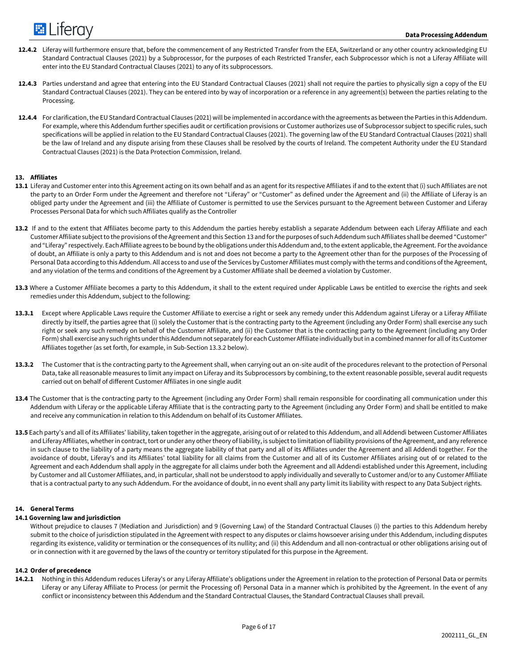

- **12.4.2** Liferay will furthermore ensure that, before the commencement of any Restricted Transfer from the EEA, Switzerland or any other country acknowledging EU Standard Contractual Clauses (2021) by a Subprocessor, for the purposes of each Restricted Transfer, each Subprocessor which is not a Liferay Affiliate will enter into the EU Standard Contractual Clauses (2021) to any of its subprocessors.
- **12.4.3** Parties understand and agree that entering into the EU Standard Contractual Clauses (2021) shall not require the parties to physically sign a copy of the EU Standard Contractual Clauses (2021). They can be entered into by way of incorporation or a reference in any agreement(s) between the parties relating to the Processing.
- **12.4.4** For clarification, the EU Standard Contractual Clauses (2021) will be implemented in accordance with the agreements as between the Parties in this Addendum. For example, where this Addendum further specifies audit or certification provisions or Customer authorizes use of Subprocessor subject to specific rules, such specifications will be applied in relation to the EU Standard Contractual Clauses (2021). The governing law of the EU Standard Contractual Clauses (2021) shall be the law of Ireland and any dispute arising from these Clauses shall be resolved by the courts of Ireland. The competent Authority under the EU Standard Contractual Clauses (2021) is the Data Protection Commission, Ireland.

# **13. Affiliates**

- 13.1 Liferay and Customer enter into this Agreement acting on its own behalf and as an agent for its respective Affiliates if and to the extent that (i) such Affiliates are not the party to an Order Form under the Agreement and therefore not "Liferay" or "Customer" as defined under the Agreement and (ii) the Affiliate of Liferay is an obliged party under the Agreement and (iii) the Affiliate of Customer is permitted to use the Services pursuant to the Agreement between Customer and Liferay Processes Personal Data for which such Affiliates qualify as the Controller
- 13.2 If and to the extent that Affiliates become party to this Addendum the parties hereby establish a separate Addendum between each Liferay Affiliate and each Customer Affiliate subject to the provisions of the Agreement and this Section 13 and for the purposes of such Addendum such Affiliates shall be deemed "Customer" and "Liferay" respectively. Each Affiliate agrees to be bound by the obligations under this Addendum and, to the extent applicable, the Agreement. For the avoidance of doubt, an Affiliate is only a party to this Addendum and is not and does not become a party to the Agreement other than for the purposes of the Processing of Personal Data according to this Addendum. All access to and use of the Services by Customer Affiliates must comply with the terms and conditions of the Agreement, and any violation of the terms and conditions of the Agreement by a Customer Affiliate shall be deemed a violation by Customer.
- 13.3 Where a Customer Affiliate becomes a party to this Addendum, it shall to the extent required under Applicable Laws be entitled to exercise the rights and seek remedies under this Addendum, subject to the following:
- **13.3.1** Except where Applicable Laws require the Customer Affiliate to exercise a right or seek any remedy under this Addendum against Liferay or a Liferay Affiliate directly by itself, the parties agree that (i) solely the Customer that is the contracting party to the Agreement (including any Order Form) shall exercise any such right or seek any such remedy on behalf of the Customer Affiliate, and (ii) the Customer that is the contracting party to the Agreement (including any Order Form) shall exercise any such rights under this Addendum not separately for each Customer Affiliate individually but in a combined manner for all of its Customer Affiliates together (as set forth, for example, in Sub-Section 13.3.2 below).
- **13.3.2** The Customer that is the contracting party to the Agreement shall, when carrying out an on-site audit of the procedures relevant to the protection of Personal Data, take all reasonable measures to limit any impact on Liferay and its Subprocessors by combining, to the extent reasonable possible, several audit requests carried out on behalf of different Customer Affiliates in one single audit
- **13.4** The Customer that is the contracting party to the Agreement (including any Order Form) shall remain responsible for coordinating all communication under this Addendum with Liferay or the applicable Liferay Affiliate that is the contracting party to the Agreement (including any Order Form) and shall be entitled to make and receive any communication in relation to this Addendum on behalf of its Customer Affiliates.
- 13.5 Each party's and all of its Affiliates' liability, taken together in the aggregate, arising out of or related to this Addendum, and all Addendi between Customer Affiliates and Liferay Affiliates, whether in contract, tort or under any other theory of liability, is subject to limitation of liability provisions of the Agreement, and any reference in such clause to the liability of a party means the aggregate liability of that party and all of its Affiliates under the Agreement and all Addendi together. For the avoidance of doubt, Liferay's and its Affiliates' total liability for all claims from the Customer and all of its Customer Affiliates arising out of or related to the Agreement and each Addendum shall apply in the aggregate for all claims under both the Agreement and all Addendi established under this Agreement, including by Customer and all Customer Affiliates, and, in particular, shall not be understood to apply individually and severally to Customer and/or to any Customer Affiliate that is a contractual party to any such Addendum. For the avoidance of doubt, in no event shall any party limit its liability with respect to any Data Subject rights.

## **14. General Terms**

# **14.1 Governing law and jurisdiction**

Without prejudice to clauses 7 (Mediation and Jurisdiction) and 9 (Governing Law) of the Standard Contractual Clauses (i) the parties to this Addendum hereby submit to the choice of jurisdiction stipulated in the Agreement with respect to any disputes or claims howsoever arising under this Addendum, including disputes regarding its existence, validity or termination or the consequences of its nullity; and (ii) this Addendum and all non-contractual or other obligations arising out of or in connection with it are governed by the laws of the country or territory stipulated for this purpose in the Agreement.

# **14.2 Order of precedence**

<span id="page-5-0"></span>14.2.1 Nothing in this Addendum reduces Liferay's or any Liferay Affiliate's obligations under the Agreement in relation to the protection of Personal Data or permits Liferay or any Liferay Affiliate to Process (or permit the Processing of) Personal Data in a manner which is prohibited by the Agreement. In the event of any conflict or inconsistency between this Addendum and the Standard Contractual Clauses, the Standard Contractual Clauses shall prevail.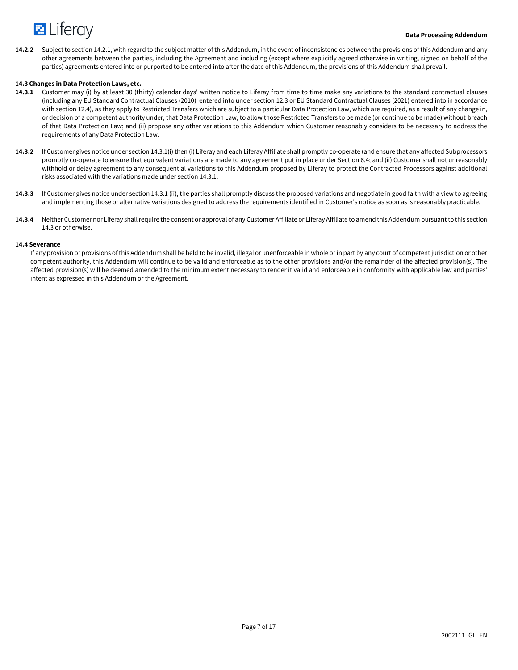

**14.2.2** Subject to sectio[n 14.2.1](#page-5-0), with regard to the subject matter of this Addendum, in the event of inconsistencies between the provisions of this Addendum and any other agreements between the parties, including the Agreement and including (except where explicitly agreed otherwise in writing, signed on behalf of the parties) agreements entered into or purported to be entered into after the date of this Addendum, the provisions of this Addendum shall prevail.

# **14.3 Changes in Data Protection Laws, etc.**

- <span id="page-6-0"></span>**14.3.1** Customer may (i) by at least 30 (thirty) calendar days' written notice to Liferay from time to time make any variations to the standard contractual clauses (including any EU Standard Contractual Clauses (2010) entered into under section 12.3 or EU [Standard Contractual Clauses \(2021\) entered into in accordance](#page-4-1)  [with section 12.4\)](#page-4-1), as they apply to Restricted Transfers which are subject to a particular Data Protection Law, which are required, as a result of any change in, or decision of a competent authority under, that Data Protection Law, to allow those Restricted Transfers to be made (or continue to be made) without breach of that Data Protection Law; and (ii) propose any other variations to this Addendum which Customer reasonably considers to be necessary to address the requirements of any Data Protection Law.
- **14.3.2** If Customer gives notice under sectio[n 14.3.1\(](#page-6-0)i) then (i) Liferay and each Liferay Affiliate shall promptly co-operate (and ensure that any affected Subprocessors promptly co-operate to ensure that equivalent variations are made to any agreement put in place under Section 6.4; and (ii) Customer shall not unreasonably withhold or delay agreement to any consequential variations to this Addendum proposed by Liferay to protect the Contracted Processors against additional risks associated with the variations made under section 14.3.1.
- **14.3.3** If Customer gives notice under section 14.3.1 (ii), the parties shall promptly discuss the proposed variations and negotiate in good faith with a view to agreeing and implementing those or alternative variations designed to address the requirements identified in Customer's notice as soon as is reasonably practicable.
- **14.3.4** Neither Customer nor Liferay shall require the consent or approval of any Customer Affiliate or Liferay Affiliate to amend this Addendum pursuant to this section 14.3 or otherwise.

# **14.4 Severance**

If any provision or provisions of this Addendum shall be held to be invalid, illegal or unenforceable in whole or in part by any court of competent jurisdiction or other competent authority, this Addendum will continue to be valid and enforceable as to the other provisions and/or the remainder of the affected provision(s). The affected provision(s) will be deemed amended to the minimum extent necessary to render it valid and enforceable in conformity with applicable law and parties' intent as expressed in this Addendum or the Agreement.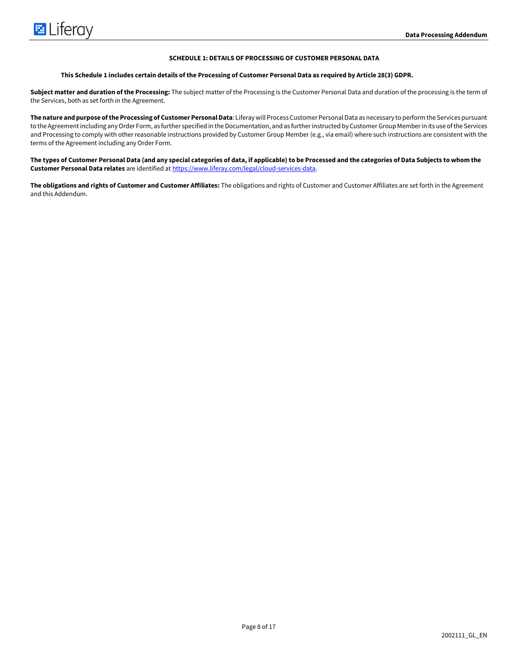

#### **SCHEDULE 1: DETAILS OF PROCESSING OF CUSTOMER PERSONAL DATA**

#### **This Schedule 1 includes certain details of the Processing of Customer Personal Data as required by Article 28(3) GDPR.**

**Subject matter and duration of the Processing:** The subject matter of the Processing is the Customer Personal Data and duration of the processing is the term of the Services, both as set forth in the Agreement.

**The nature and purpose of the Processing of Customer Personal Data**: Liferay will Process Customer Personal Data as necessary to perform the Services pursuant to the Agreementincluding any Order Form, as further specified in the Documentation, and as further instructed by Customer Group Memberin its use of the Services and Processing to comply with other reasonable instructions provided by Customer Group Member (e.g., via email) where such instructions are consistent with the terms of the Agreement including any Order Form.

**The types of Customer Personal Data (and any special categories of data, if applicable) to be Processed and the categories of Data Subjects to whom the Customer Personal Data relates** are identified at [https://www.liferay.com/legal/cloud-services-data.](https://www.liferay.com/legal/cloud-services-data)

**The obligations and rights of Customer and Customer Affiliates:** The obligations and rights of Customer and Customer Affiliates are set forth in the Agreement and this Addendum.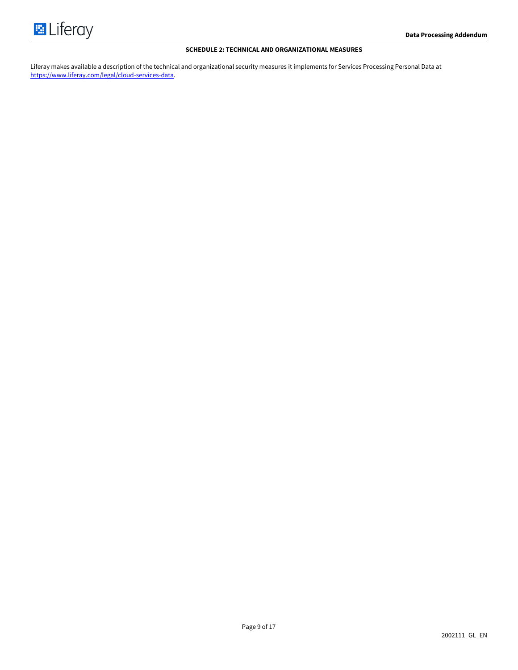

# **SCHEDULE 2: TECHNICAL AND ORGANIZATIONAL MEASURES**

Liferay makes available a description of the technical and organizational security measures it implements for Services Processing Personal Data at [https://www.liferay.com/legal/cloud-services-data.](https://www.liferay.com/legal/cloud-services-data)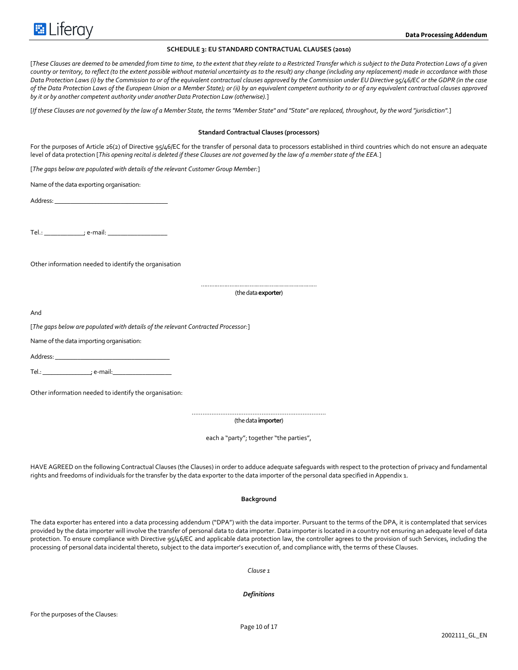

### **SCHEDULE 3: EU STANDARD CONTRACTUAL CLAUSES (2010)**

[*These Clauses are deemed to be amended from time to time, to the extent that they relate to a Restricted Transfer which is subject to the Data Protection Laws of a given country or territory, to reflect (to the extent possible without material uncertainty as to the result) any change (including any replacement) made in accordance with those Data Protection Laws (i) by the Commission to or of the equivalent contractual clauses approved by the Commission under EU Directive 95/46/EC or the GDPR (in the case of the Data Protection Laws of the European Union or a Member State); or (ii) by an equivalent competent authority to or of any equivalent contractual clauses approved by it or by another competent authority under another Data Protection Law (otherwise).*]

[*If these Clauses are not governed by the law of a Member State, the terms "Member State" and "State" are replaced, throughout, by the word "jurisdiction".*]

#### **Standard Contractual Clauses (processors)**

For the purposes of Article 26(2) of Directive 95/46/EC for the transfer of personal data to processors established in third countries which do not ensure an adequate level of data protection [*This opening recital is deleted if these Clauses are not governed by the law of a member state of the EEA.*]

[*The gaps below are populated with details of the relevant Customer Group Member:*]

Name of the data exporting organisation:

Address: \_\_\_\_\_\_\_\_\_\_\_\_\_\_\_\_\_\_\_\_\_\_\_\_\_\_\_\_\_\_\_\_\_\_\_\_

Tel.: \_\_\_\_\_\_\_\_\_\_\_\_\_\_\_\_\_\_; e-mail: \_\_\_\_

Other information needed to identify the organisation

(the data **exporter**)

……………………………………………………………

And

[*The gaps below are populated with details of the relevant Contracted Processor:*]

Name of the data importing organisation:

Address:\_

Tel.: \_\_\_\_\_\_\_\_\_\_\_\_\_\_\_\_; e-mail:\_\_\_\_\_\_\_\_\_\_\_\_\_\_\_\_\_\_

Other information needed to identify the organisation:

………………………………………………………………… (the data **importer**)

each a "party"; together "the parties",

HAVE AGREED on the following Contractual Clauses (the Clauses) in order to adduce adequate safeguards with respect to the protection of privacy and fundamental rights and freedoms of individuals for the transfer by the data exporter to the data importer of the personal data specified in Appendix 1.

#### **Background**

The data exporter has entered into a data processing addendum ("DPA") with the data importer. Pursuant to the terms of the DPA, it is contemplated that services provided by the data importer will involve the transfer of personal data to data importer. Data importer is located in a country not ensuring an adequate level of data protection. To ensure compliance with Directive 95/46/EC and applicable data protection law, the controller agrees to the provision of such Services, including the processing of personal data incidental thereto, subject to the data importer's execution of, and compliance with, the terms of these Clauses.

*Clause 1*

*Definitions*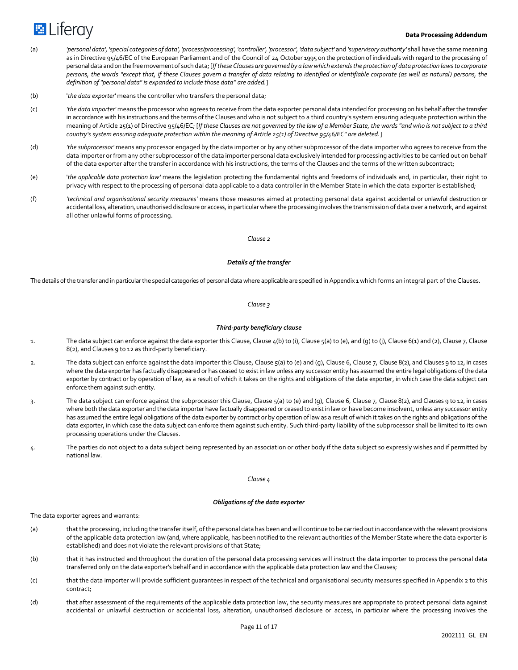# iterav

- (a) *'personal data', 'special categories of data', 'process/processing', 'controller', 'processor', 'data subject' and 'supervisory authority' shall have the same meaning* as in Directive 95/46/EC of the European Parliament and of the Council of 24 October 1995 on the protection of individuals with regard to the processing of personal data and on the free movement of such data; [*If these Clauses are governed by a law which extends the protection of data protection laws to corporate persons, the words "except that, if these Clauses govern a transfer of data relating to identified or identifiable corporate (as well as natural) persons, the definition of "personal data" is expanded to include those data" are added.*]
- (b) '*the data exporter'* means the controller who transfers the personal data;
- (c) *'the data importer'* means the processor who agrees to receive from the data exporter personal data intended for processing on his behalf after the transfer in accordance with his instructions and the terms of the Clauses and who is not subject to a third country's system ensuring adequate protection within the meaning of Article 25(1) of Directive 95/46/EC; [*If these Clauses are not governed by the law of a Member State, the words "and who is not subject to a third country's system ensuring adequate protection within the meaning of Article 25(1) of Directive 95/46/EC" are deleted.*]
- (d) *'the subprocessor'* means any processor engaged by the data importer or by any other subprocessor of the data importer who agrees to receive from the data importer or from any other subprocessor of the data importer personal data exclusively intended for processing activities to be carried out on behalf of the data exporter after the transfer in accordance with his instructions, the terms of the Clauses and the terms of the written subcontract;
- (e) '*the applicable data protection law'* means the legislation protecting the fundamental rights and freedoms of individuals and, in particular, their right to privacy with respect to the processing of personal data applicable to a data controller in the Member State in which the data exporter is established;
- (f) *'technical and organisational security measures'* means those measures aimed at protecting personal data against accidental or unlawful destruction or accidental loss, alteration, unauthorised disclosure or access, in particular where the processing involves the transmission of data over a network, and against all other unlawful forms of processing.

#### *Clause 2*

### *Details of the transfer*

The details of the transfer and in particular the special categories of personal data where applicable are specified in Appendix 1 which forms an integral part of the Clauses.

# *Clause 3*

#### *Third-party beneficiary clause*

- 1. The data subject can enforce against the data exporter this Clause, Clause  $4(b)$  to (i), Clause 5(a) to (e), and (g) to (j), Clause 6(1) and (2), Clause 7, Clause 8(2), and Clauses 9 to 12 as third-party beneficiary.
- 2. The data subject can enforce against the data importer this Clause, Clause 5(a) to (e) and (g), Clause 6, Clause 7, Clause 8(2), and Clauses 9 to 12, in cases where the data exporter has factually disappeared or has ceased to exist in law unless any successor entity has assumed the entire legal obligations of the data exporter by contract or by operation of law, as a result of which it takes on the rights and obligations of the data exporter, in which case the data subject can enforce them against such entity.
- 3. The data subject can enforce against the subprocessor this Clause, Clause 5(a) to (e) and (g), Clause 6, Clause 7, Clause 8(2), and Clauses 9 to 12, in cases where both the data exporter and the data importer have factually disappeared or ceased to exist in law or have become insolvent, unless any successor entity has assumed the entire legal obligations of the data exporter by contract or by operation of law as a result of which it takes on the rights and obligations of the data exporter, in which case the data subject can enforce them against such entity. Such third-party liability of the subprocessor shall be limited to its own processing operations under the Clauses.
- 4. The parties do not object to a data subject being represented by an association or other body if the data subject so expressly wishes and if permitted by national law.

#### *Clause 4*

# *Obligations of the data exporter*

The data exporter agrees and warrants:

- (a) that the processing, including the transfer itself, of the personal data has been and will continue to be carried out in accordance with the relevant provisions of the applicable data protection law (and, where applicable, has been notified to the relevant authorities of the Member State where the data exporter is established) and does not violate the relevant provisions of that State;
- (b) that it has instructed and throughout the duration of the personal data processing services will instruct the data importer to process the personal data transferred only on the data exporter's behalf and in accordance with the applicable data protection law and the Clauses;
- (c) that the data importer will provide sufficient guarantees in respect of the technical and organisational security measures specified in Appendix 2 to this contract;
- (d) that after assessment of the requirements of the applicable data protection law, the security measures are appropriate to protect personal data against accidental or unlawful destruction or accidental loss, alteration, unauthorised disclosure or access, in particular where the processing involves the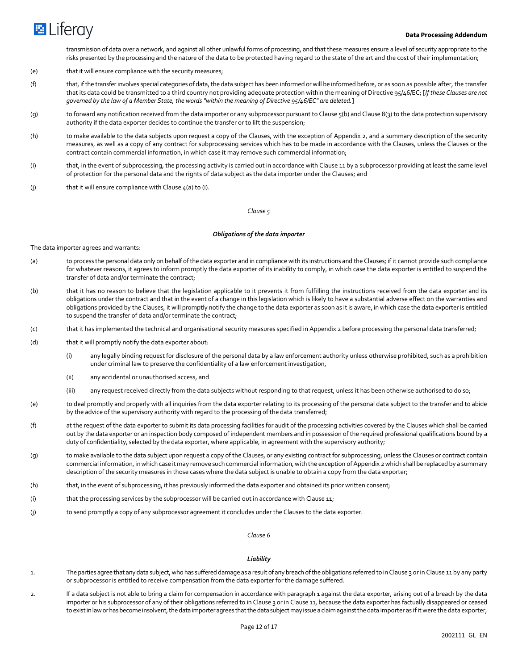transmission of data over a network, and against all other unlawful forms of processing, and that these measures ensure a level of security appropriate to the risks presented by the processing and the nature of the data to be protected having regard to the state of the art and the cost of their implementation;

- (e) that it will ensure compliance with the security measures;
- (f) that, if the transfer involves special categories of data, the data subject has been informed or will be informed before, or as soon as possible after, the transfer that its data could be transmitted to a third country not providing adequate protection within the meaning of Directive 95/46/EC; [*If these Clauses are not governed by the law of a Member State, the words "within the meaning of Directive 95/46/EC" are deleted.*]
- (g) to forward any notification received from the data importer or any subprocessor pursuant to Clause 5(b) and Clause 8(3) to the data protection supervisory authority if the data exporter decides to continue the transfer or to lift the suspension;
- (h) to make available to the data subjects upon request a copy of the Clauses, with the exception of Appendix 2, and a summary description of the security measures, as well as a copy of any contract for subprocessing services which has to be made in accordance with the Clauses, unless the Clauses or the contract contain commercial information, in which case it may remove such commercial information;
- (i) that, in the event of subprocessing, the processing activity is carried out in accordance with Clause 11 by a subprocessor providing at least the same level of protection for the personal data and the rights of data subject as the data importer under the Clauses; and
- (i) that it will ensure compliance with Clause  $4(a)$  to (i).

#### *Clause 5*

#### *Obligations of the data importer*

The data importer agrees and warrants:

- (a) to process the personal data only on behalf of the data exporter and in compliance with its instructions and the Clauses; if it cannot provide such compliance for whatever reasons, it agrees to inform promptly the data exporter of its inability to comply, in which case the data exporter is entitled to suspend the transfer of data and/or terminate the contract;
- (b) that it has no reason to believe that the legislation applicable to it prevents it from fulfilling the instructions received from the data exporter and its obligations under the contract and that in the event of a change in this legislation which is likely to have a substantial adverse effect on the warranties and obligations provided by the Clauses, it will promptly notify the change to the data exporter as soon as it is aware, in which case the data exporter is entitled to suspend the transfer of data and/or terminate the contract;
- (c) that it has implemented the technical and organisational security measures specified in Appendix 2 before processing the personal data transferred;
- (d) that it will promptly notify the data exporter about:
	- (i) any legally binding request for disclosure of the personal data by a law enforcement authority unless otherwise prohibited, such as a prohibition under criminal law to preserve the confidentiality of a law enforcement investigation,
	- (ii) any accidental or unauthorised access, and
	- (iii) any request received directly from the data subjects without responding to that request, unless it has been otherwise authorised to do so;
- (e) to deal promptly and properly with all inquiries from the data exporter relating to its processing of the personal data subject to the transfer and to abide by the advice of the supervisory authority with regard to the processing of the data transferred;
- (f) at the request of the data exporter to submit its data processing facilities for audit of the processing activities covered by the Clauses which shall be carried out by the data exporter or an inspection body composed of independent members and in possession of the required professional qualifications bound by a duty of confidentiality, selected by the data exporter, where applicable, in agreement with the supervisory authority;
- (g) to make available to the data subject upon request a copy of the Clauses, or any existing contract for subprocessing, unless the Clauses or contract contain commercial information, in which case it may remove such commercial information, with the exception of Appendix 2 which shall be replaced by a summary description of the security measures in those cases where the data subject is unable to obtain a copy from the data exporter;
- (h) that, in the event of subprocessing, it has previously informed the data exporter and obtained its prior written consent;
- (i) that the processing services by the subprocessor will be carried out in accordance with Clause  $11$ ;
- (j) to send promptly a copy of any subprocessor agreement it concludes under the Clauses to the data exporter.

#### *Clause 6*

#### *Liability*

- 1. The parties agree that any data subject, who has suffered damage as a result of any breach of the obligations referred to in Clause 3 or in Clause 11 by any party or subprocessor is entitled to receive compensation from the data exporter for the damage suffered.
- 2. If a data subject is not able to bring a claim for compensation in accordance with paragraph 1 against the data exporter, arising out of a breach by the data importer or his subprocessor of any of their obligations referred to in Clause 3 or in Clause 11, because the data exporter has factually disappeared or ceased to exist in law or has become insolvent, the data importer agrees that the data subject may issue a claim against the data importer as if it were the data exporter,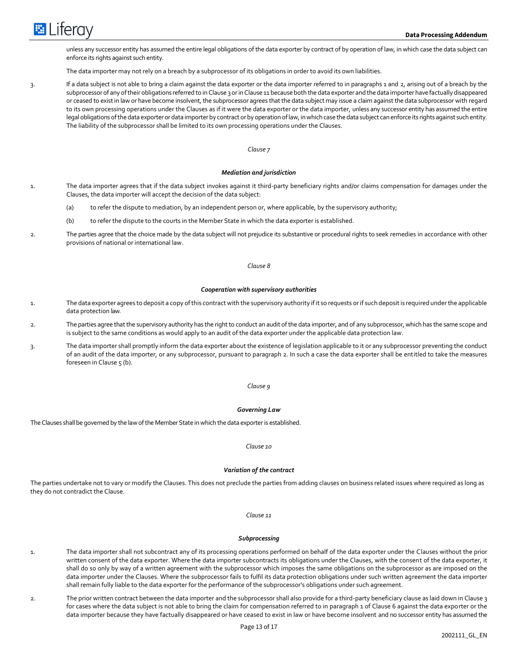

unless any successor entity has assumed the entire legal obligations of the data exporter by contract of by operation of law, in which case the data subject can enforce its rights against such entity.

The data importer may not rely on a breach by a subprocessor of its obligations in order to avoid its own liabilities.

3. If a data subject is not able to bring a claim against the data exporter or the data importer referred to in paragraphs 1 and 2, arising out of a breach by the subprocessor of any of their obligations referred to in Clause 3 or in Clause 11 because both the data exporter and the data importer have factually disappeared or ceased to exist in law or have become insolvent, the subprocessor agrees that the data subject may issue a claim against the data subprocessor with regard to its own processing operations under the Clauses as if it were the data exporter or the data importer, unless any successor entity has assumed the entire legal obligations of the data exporter or data importer by contract or by operation of law, in which case the data subject can enforce its rights against such entity. The liability of the subprocessor shall be limited to its own processing operations under the Clauses.

# *Clause 7*

#### *Mediation and jurisdiction*

- 1. The data importer agrees that if the data subject invokes against it third-party beneficiary rights and/or claims compensation for damages under the Clauses, the data importer will accept the decision of the data subject:
	- (a) to refer the dispute to mediation, by an independent person or, where applicable, by the supervisory authority;
	- (b) to refer the dispute to the courts in the Member State in which the data exporter is established.
- 2. The parties agree that the choice made by the data subject will not prejudice its substantive or procedural rights to seek remedies in accordance with other provisions of national or international law.

### *Clause 8*

#### *Cooperation with supervisory authorities*

- 1. The data exporter agrees to deposit a copy of this contract with the supervisory authority if it so requests or if such deposit is required under the applicable data protection law.
- 2. The parties agree that the supervisory authority has the right to conduct an audit of the data importer, and of any subprocessor, which has the same scope and is subject to the same conditions as would apply to an audit of the data exporter under the applicable data protection law.
- 3. The data importer shall promptly inform the data exporter about the existence of legislation applicable to it or any subprocessor preventing the conduct of an audit of the data importer, or any subprocessor, pursuant to paragraph 2. In such a case the data exporter shall be entitled to take the measures foreseen in Clause 5 (b).

#### *Clause 9*

#### *Governing Law*

The Clauses shall be governed by the law of the Member State in which the data exporter is established.

*Clause 10*

# *Variation of the contract*

The parties undertake not to vary or modify the Clauses. This does not preclude the parties from adding clauses on business related issues where required as long as they do not contradict the Clause.

#### *Clause 11*

# *Subprocessing*

- 1. The data importer shall not subcontract any of its processing operations performed on behalf of the data exporter under the Clauses without the prior written consent of the data exporter. Where the data importer subcontracts its obligations under the Clauses, with the consent of the data exporter, it shall do so only by way of a written agreement with the subprocessor which imposes the same obligations on the subprocessor as are imposed on the data importer under the Clauses. Where the subprocessor fails to fulfil its data protection obligations under such written agreement the data importer shall remain fully liable to the data exporter for the performance of the subprocessor's obligations under such agreement.
- 2. The prior written contract between the data importer and the subprocessor shall also provide for a third-party beneficiary clause as laid down in Clause 3 for cases where the data subject is not able to bring the claim for compensation referred to in paragraph 1 of Clause 6 against the data exporter or the data importer because they have factually disappeared or have ceased to exist in law or have become insolvent and no successor entity has assumed the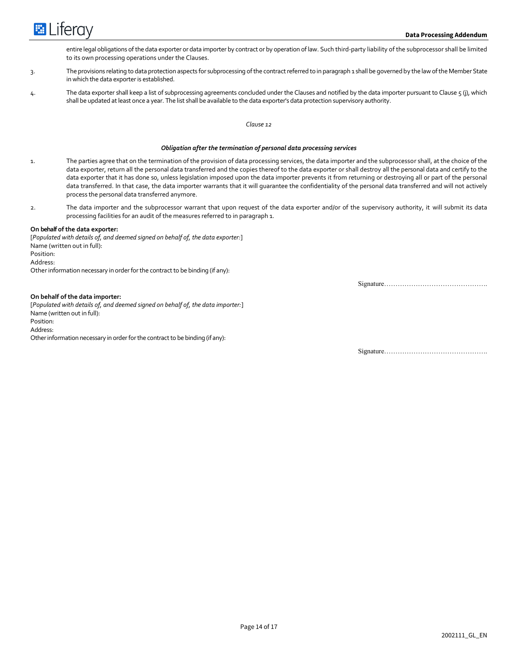entire legal obligations of the data exporter or data importer by contract or by operation of law. Such third-party liability of the subprocessor shall be limited to its own processing operations under the Clauses.

- 3. The provisions relating to data protection aspects for subprocessing of the contract referred to in paragraph 1 shall be governed by the law of the Member State in which the data exporter is established.
- 4. The data exporter shall keep a list of subprocessing agreements concluded under the Clauses and notified by the data importer pursuant to Clause 5 (j), which shall be updated at least once a year. The list shall be available to the data exporter's data protection supervisory authority.

# *Clause 12*

# *Obligation after the termination of personal data processing services*

- 1. The parties agree that on the termination of the provision of data processing services, the data importer and the subprocessor shall, at the choice of the data exporter, return all the personal data transferred and the copies thereof to the data exporter or shall destroy all the personal data and certify to the data exporter that it has done so, unless legislation imposed upon the data importer prevents it from returning or destroying all or part of the personal data transferred. In that case, the data importer warrants that it will guarantee the confidentiality of the personal data transferred and will not actively process the personal data transferred anymore.
- 2. The data importer and the subprocessor warrant that upon request of the data exporter and/or of the supervisory authority, it will submit its data processing facilities for an audit of the measures referred to in paragraph 1.

#### **On behalf of the data exporter:**

[*Populated with details of, and deemed signed on behalf of, the data exporter:*] Name (written out in full): Position:

Address:

Other information necessary in order for the contract to be binding (if any):

Signature……………………………………….

#### **On behalf of the data importer:**

[*Populated with details of, and deemed signed on behalf of, the data importer:*] Name (written out in full): Position: Address: Other information necessary in order for the contract to be binding (if any):

Signature……………………………………….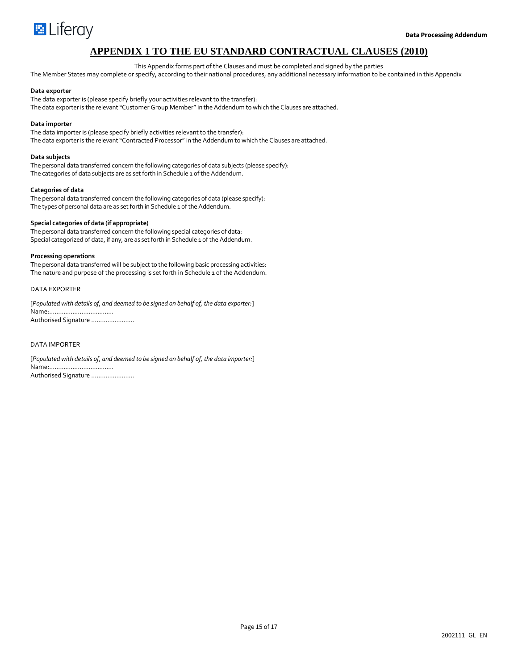

# **APPENDIX 1 TO THE EU STANDARD CONTRACTUAL CLAUSES (2010)**

# This Appendix forms part of the Clauses and must be completed and signed by the parties

The Member States may complete or specify, according to their national procedures, any additional necessary information to be contained in this Appendix

# **Data exporter**

The data exporter is (please specify briefly your activities relevant to the transfer): The data exporter is the relevant "Customer Group Member"in the Addendum to which the Clauses are attached.

# **Data importer**

The data importer is (please specify briefly activities relevant to the transfer): The data exporter is the relevant "Contracted Processor" in the Addendum to which the Clauses are attached.

# **Data subjects**

The personal data transferred concern the following categories of data subjects (please specify): The categories of data subjects are as set forth in Schedule 1 of the Addendum.

# **Categories of data**

The personal data transferred concern the following categories of data (please specify): The types of personal data are as set forth in Schedule 1 of the Addendum.

# **Special categories of data (if appropriate)**

The personal data transferred concern the following special categories of data: Special categorized of data, if any, are as set forth in Schedule 1 of the Addendum.

# **Processing operations**

The personal data transferred will be subject to the following basic processing activities: The nature and purpose of the processing is set forth in Schedule 1 of the Addendum.

DATA EXPORTER

[*Populated with details of, and deemed to be signed on behalf of, the data exporter:*] Name:……………………………… Authorised Signature ……………………

# DATA IMPORTER

[*Populated with details of, and deemed to be signed on behalf of, the data importer:*] Name:……………………………… Authorised Signature ……………………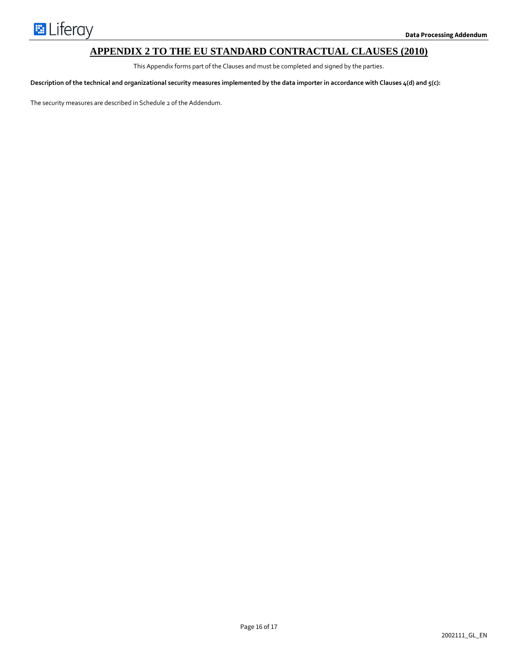

# **APPENDIX 2 TO THE EU STANDARD CONTRACTUAL CLAUSES (2010)**

This Appendix forms part of the Clauses and must be completed and signed by the parties.

**Description of the technical and organizational security measures implemented by the data importer in accordance with Clauses 4(d) and 5(c):**

The security measures are described in Schedule 2 of the Addendum.